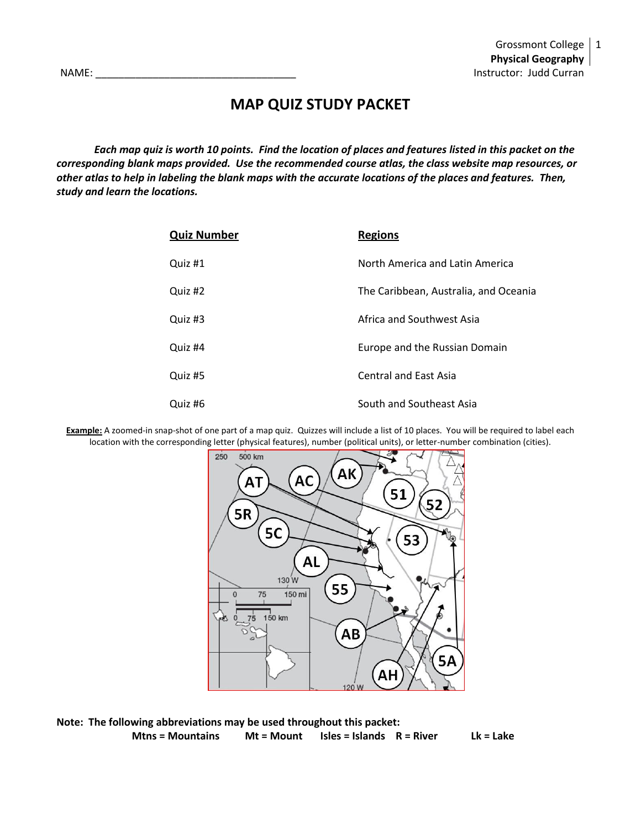# **MAP QUIZ STUDY PACKET**

*Each map quiz is worth 10 points. Find the location of places and features listed in this packet on the corresponding blank maps provided. Use the recommended course atlas, the class website map resources, or other atlas to help in labeling the blank maps with the accurate locations of the places and features. Then, study and learn the locations.*

| <b>Quiz Number</b> | <b>Regions</b>                        |
|--------------------|---------------------------------------|
| Quiz #1            | North America and Latin America       |
| Quiz #2            | The Caribbean, Australia, and Oceania |
| Quiz #3            | Africa and Southwest Asia             |
| Quiz #4            | Europe and the Russian Domain         |
| Quiz #5            | <b>Central and East Asia</b>          |
| Quiz #6            | South and Southeast Asia              |

**Example:** A zoomed-in snap-shot of one part of a map quiz. Quizzes will include a list of 10 places. You will be required to label each location with the corresponding letter (physical features), number (political units), or letter-number combination (cities).



**Note: The following abbreviations may be used throughout this packet: Mtns = Mountains Mt = Mount Isles = Islands R = River Lk = Lake**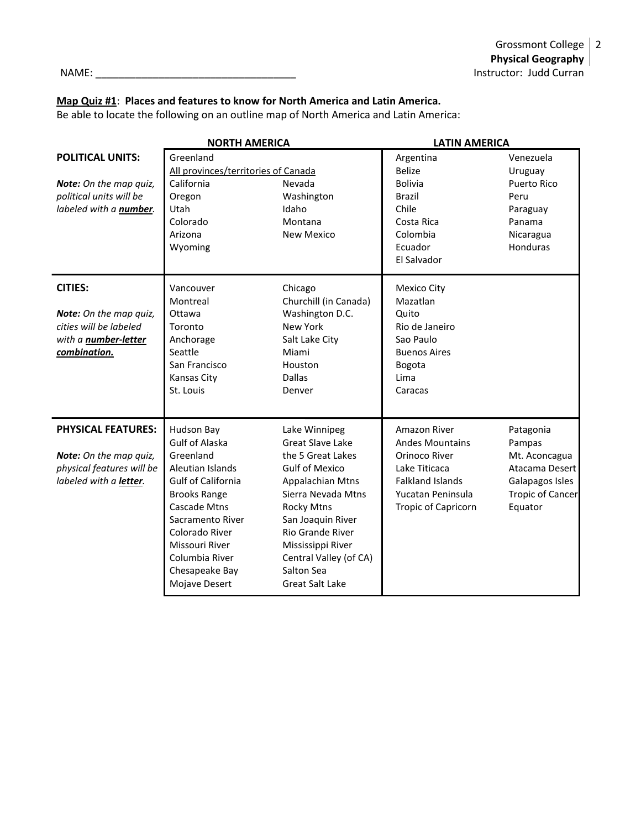### **Map Quiz #1**: **Places and features to know for North America and Latin America.**

Be able to locate the following on an outline map of North America and Latin America:

|                                                                                                                   | <b>NORTH AMERICA</b>                                                                                                                                                                                                                                  |                                                                                                                                                                                                                                                                                              | <b>LATIN AMERICA</b>                                                                                                                                   |                                                                                                                 |
|-------------------------------------------------------------------------------------------------------------------|-------------------------------------------------------------------------------------------------------------------------------------------------------------------------------------------------------------------------------------------------------|----------------------------------------------------------------------------------------------------------------------------------------------------------------------------------------------------------------------------------------------------------------------------------------------|--------------------------------------------------------------------------------------------------------------------------------------------------------|-----------------------------------------------------------------------------------------------------------------|
| <b>POLITICAL UNITS:</b>                                                                                           | Greenland                                                                                                                                                                                                                                             |                                                                                                                                                                                                                                                                                              | Argentina                                                                                                                                              | Venezuela                                                                                                       |
| Note: On the map quiz,<br>political units will be<br>labeled with a number.                                       | All provinces/territories of Canada<br>California<br>Oregon<br>Utah<br>Colorado<br>Arizona<br>Wyoming                                                                                                                                                 | Nevada<br>Washington<br>Idaho<br>Montana<br><b>New Mexico</b>                                                                                                                                                                                                                                | <b>Belize</b><br><b>Bolivia</b><br><b>Brazil</b><br>Chile<br>Costa Rica<br>Colombia<br>Ecuador<br>El Salvador                                          | Uruguay<br>Puerto Rico<br>Peru<br>Paraguay<br>Panama<br>Nicaragua<br>Honduras                                   |
| <b>CITIES:</b><br>Note: On the map quiz,<br>cities will be labeled<br>with a <b>number-letter</b><br>combination. | Vancouver<br>Montreal<br>Ottawa<br>Toronto<br>Anchorage<br>Seattle<br>San Francisco<br>Kansas City<br>St. Louis                                                                                                                                       | Chicago<br>Churchill (in Canada)<br>Washington D.C.<br><b>New York</b><br>Salt Lake City<br>Miami<br>Houston<br><b>Dallas</b><br>Denver                                                                                                                                                      | Mexico City<br>Mazatlan<br>Quito<br>Rio de Janeiro<br>Sao Paulo<br><b>Buenos Aires</b><br>Bogota<br>Lima<br>Caracas                                    |                                                                                                                 |
| <b>PHYSICAL FEATURES:</b><br>Note: On the map quiz,<br>physical features will be<br>labeled with a letter.        | Hudson Bay<br><b>Gulf of Alaska</b><br>Greenland<br>Aleutian Islands<br><b>Gulf of California</b><br><b>Brooks Range</b><br>Cascade Mtns<br>Sacramento River<br>Colorado River<br>Missouri River<br>Columbia River<br>Chesapeake Bay<br>Mojave Desert | Lake Winnipeg<br><b>Great Slave Lake</b><br>the 5 Great Lakes<br><b>Gulf of Mexico</b><br><b>Appalachian Mtns</b><br>Sierra Nevada Mtns<br><b>Rocky Mtns</b><br>San Joaquin River<br>Rio Grande River<br>Mississippi River<br>Central Valley (of CA)<br>Salton Sea<br><b>Great Salt Lake</b> | Amazon River<br><b>Andes Mountains</b><br>Orinoco River<br>Lake Titicaca<br><b>Falkland Islands</b><br>Yucatan Peninsula<br><b>Tropic of Capricorn</b> | Patagonia<br>Pampas<br>Mt. Aconcagua<br>Atacama Desert<br>Galapagos Isles<br><b>Tropic of Cancer</b><br>Equator |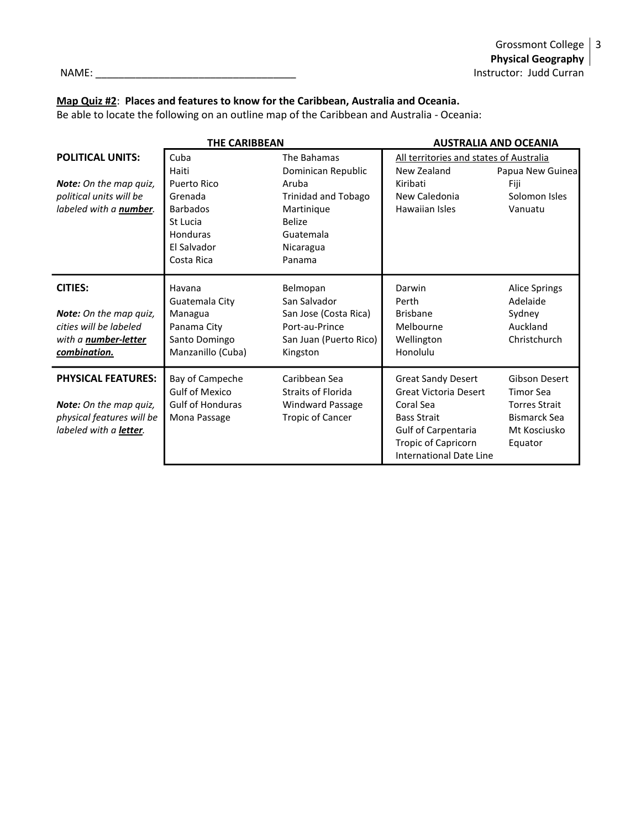Grossmont College 3 **Physical Geography** NAME: \_\_\_\_\_\_\_\_\_\_\_\_\_\_\_\_\_\_\_\_\_\_\_\_\_\_\_\_\_\_\_\_\_\_\_ Instructor: Judd Curran

# **Map Quiz #2**: **Places and features to know for the Caribbean, Australia and Oceania.**

Be able to locate the following on an outline map of the Caribbean and Australia - Oceania:

|                                                                                                                          | THE CARIBBEAN                                                                                                   |                                                                                                                                             | <b>AUSTRALIA AND OCEANIA</b>                                                                                                                                          |                                                                                                             |
|--------------------------------------------------------------------------------------------------------------------------|-----------------------------------------------------------------------------------------------------------------|---------------------------------------------------------------------------------------------------------------------------------------------|-----------------------------------------------------------------------------------------------------------------------------------------------------------------------|-------------------------------------------------------------------------------------------------------------|
| <b>POLITICAL UNITS:</b><br><b>Note:</b> On the map quiz,<br>political units will be<br>labeled with a <b>number</b> .    | Cuba<br>Haiti<br>Puerto Rico<br>Grenada<br><b>Barbados</b><br>St Lucia<br>Honduras<br>El Salvador<br>Costa Rica | The Bahamas<br>Dominican Republic<br>Aruba<br><b>Trinidad and Tobago</b><br>Martinique<br><b>Belize</b><br>Guatemala<br>Nicaragua<br>Panama | All territories and states of Australia<br>New Zealand<br>Kiribati<br>New Caledonia<br>Hawaiian Isles                                                                 | Papua New Guinea<br>Fiji<br>Solomon Isles<br>Vanuatu                                                        |
| <b>CITIES:</b><br><b>Note:</b> On the map quiz,<br>cities will be labeled<br>with a <b>number-letter</b><br>combination. | Havana<br>Guatemala City<br>Managua<br>Panama City<br>Santo Domingo<br>Manzanillo (Cuba)                        | Belmopan<br>San Salvador<br>San Jose (Costa Rica)<br>Port-au-Prince<br>San Juan (Puerto Rico)<br>Kingston                                   | Darwin<br>Perth<br><b>Brisbane</b><br>Melbourne<br>Wellington<br>Honolulu                                                                                             | <b>Alice Springs</b><br>Adelaide<br>Sydney<br>Auckland<br>Christchurch                                      |
| <b>PHYSICAL FEATURES:</b><br>Note: On the map quiz,<br>physical features will be<br>labeled with a letter.               | Bay of Campeche<br><b>Gulf of Mexico</b><br><b>Gulf of Honduras</b><br>Mona Passage                             | Caribbean Sea<br><b>Straits of Florida</b><br>Windward Passage<br><b>Tropic of Cancer</b>                                                   | <b>Great Sandy Desert</b><br><b>Great Victoria Desert</b><br>Coral Sea<br><b>Bass Strait</b><br>Gulf of Carpentaria<br>Tropic of Capricorn<br>International Date Line | Gibson Desert<br><b>Timor Sea</b><br><b>Torres Strait</b><br><b>Bismarck Sea</b><br>Mt Kosciusko<br>Equator |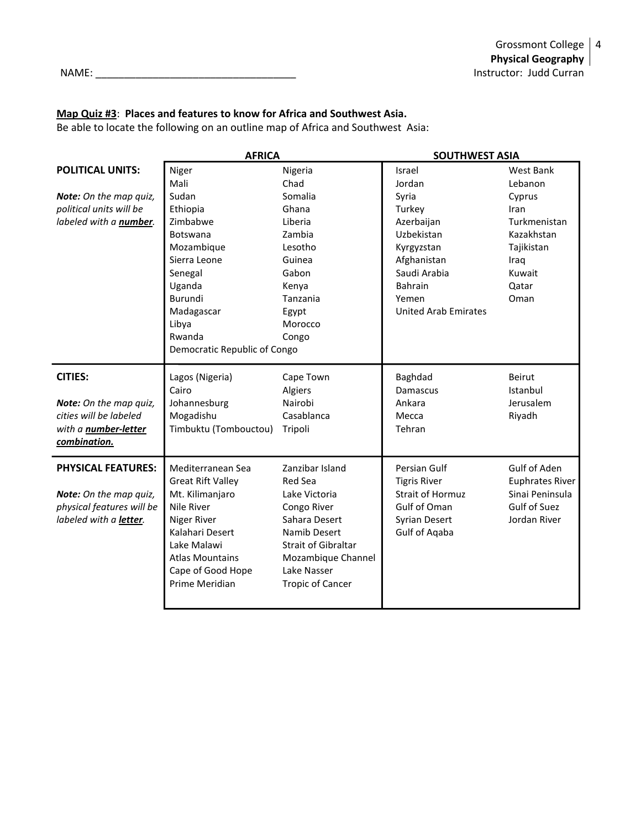NAME: \_\_\_\_\_\_\_\_\_\_\_\_\_\_\_\_\_\_\_\_\_\_\_\_\_\_\_\_\_\_\_\_\_\_\_ Instructor: Judd Curran

#### **Map Quiz #3**: **Places and features to know for Africa and Southwest Asia.**

Be able to locate the following on an outline map of Africa and Southwest Asia:

|                                | <b>AFRICA</b>                |                         | <b>SOUTHWEST ASIA</b>       |                        |
|--------------------------------|------------------------------|-------------------------|-----------------------------|------------------------|
| <b>POLITICAL UNITS:</b>        | Niger                        | Nigeria                 | Israel                      | West Bank              |
|                                | Mali                         | Chad                    | Jordan                      | Lebanon                |
| Note: On the map quiz,         | Sudan                        | Somalia                 | Syria                       | Cyprus                 |
| political units will be        | Ethiopia                     | Ghana                   | Turkey                      | Iran                   |
| labeled with a <b>number</b> . | Zimbabwe                     | Liberia                 | Azerbaijan                  | Turkmenistan           |
|                                | Botswana                     | Zambia                  | Uzbekistan                  | Kazakhstan             |
|                                | Mozambique                   | Lesotho                 | Kyrgyzstan                  | Tajikistan             |
|                                | Sierra Leone                 | Guinea                  | Afghanistan                 | Iraq                   |
|                                | Senegal                      | Gabon                   | Saudi Arabia                | Kuwait                 |
|                                | Uganda                       | Kenya                   | Bahrain                     | Qatar                  |
|                                | Burundi                      | Tanzania                | Yemen                       | Oman                   |
|                                | Madagascar                   | Egypt                   | <b>United Arab Emirates</b> |                        |
|                                | Libya                        | Morocco                 |                             |                        |
|                                | Rwanda                       | Congo                   |                             |                        |
|                                | Democratic Republic of Congo |                         |                             |                        |
| <b>CITIES:</b>                 | Lagos (Nigeria)              | Cape Town               | Baghdad                     | <b>Beirut</b>          |
|                                | Cairo                        | Algiers                 | Damascus                    | Istanbul               |
| Note: On the map quiz,         | Johannesburg                 | Nairobi                 | Ankara                      | Jerusalem              |
| cities will be labeled         | Mogadishu                    | Casablanca              | Mecca                       | Riyadh                 |
| with a <b>number-letter</b>    | Timbuktu (Tombouctou)        | Tripoli                 | Tehran                      |                        |
| combination.                   |                              |                         |                             |                        |
| <b>PHYSICAL FEATURES:</b>      | Mediterranean Sea            | Zanzibar Island         | Persian Gulf                | Gulf of Aden           |
|                                | <b>Great Rift Valley</b>     | Red Sea                 | <b>Tigris River</b>         | <b>Euphrates River</b> |
| Note: On the map quiz,         | Mt. Kilimanjaro              | Lake Victoria           | <b>Strait of Hormuz</b>     | Sinai Peninsula        |
| physical features will be      | Nile River                   | Congo River             | Gulf of Oman                | Gulf of Suez           |
| labeled with a letter.         | Niger River                  | Sahara Desert           | <b>Syrian Desert</b>        | Jordan River           |
|                                | Kalahari Desert              | Namib Desert            | <b>Gulf of Aqaba</b>        |                        |
|                                | Lake Malawi                  | Strait of Gibraltar     |                             |                        |
|                                | <b>Atlas Mountains</b>       | Mozambique Channel      |                             |                        |
|                                | Cape of Good Hope            | Lake Nasser             |                             |                        |
|                                | Prime Meridian               | <b>Tropic of Cancer</b> |                             |                        |
|                                |                              |                         |                             |                        |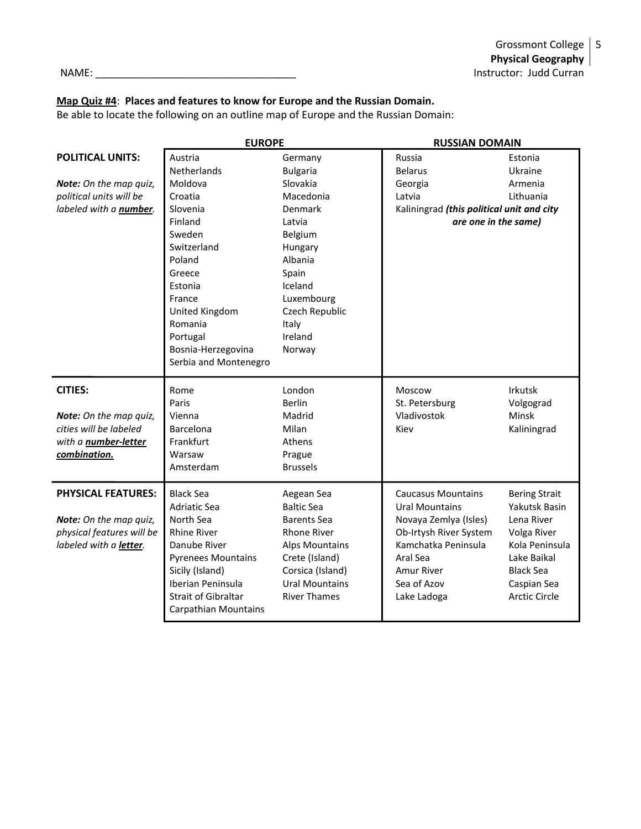### **Map Quiz #4**: **Places and features to know for Europe and the Russian Domain.**

Be able to locate the following on an outline map of Europe and the Russian Domain:

|                               | <b>EUROPE</b>               |                       | <b>RUSSIAN DOMAIN</b>                     |                      |
|-------------------------------|-----------------------------|-----------------------|-------------------------------------------|----------------------|
| <b>POLITICAL UNITS:</b>       | Austria                     | Germany               | Russia                                    | Estonia              |
|                               | Netherlands                 | <b>Bulgaria</b>       | <b>Belarus</b>                            | Ukraine              |
| <b>Note:</b> On the map quiz, | Moldova                     | Slovakia              | Georgia                                   | Armenia              |
| political units will be       | Croatia                     | Macedonia             | Latvia                                    | Lithuania            |
| labeled with a number.        | Slovenia                    | Denmark               | Kaliningrad (this political unit and city |                      |
|                               | Finland                     | Latvia                | are one in the same)                      |                      |
|                               | Sweden                      | Belgium               |                                           |                      |
|                               | Switzerland                 | Hungary               |                                           |                      |
|                               | Poland                      | Albania               |                                           |                      |
|                               | Greece                      | Spain                 |                                           |                      |
|                               | Estonia                     | Iceland               |                                           |                      |
|                               | France                      | Luxembourg            |                                           |                      |
|                               | United Kingdom              | Czech Republic        |                                           |                      |
|                               | Romania                     | Italy                 |                                           |                      |
|                               | Portugal                    | Ireland               |                                           |                      |
|                               | Bosnia-Herzegovina          | Norway                |                                           |                      |
|                               | Serbia and Montenegro       |                       |                                           |                      |
| <b>CITIES:</b>                | Rome                        | London                | Moscow                                    | <b>Irkutsk</b>       |
|                               | Paris                       | <b>Berlin</b>         | St. Petersburg                            | Volgograd            |
| Note: On the map quiz,        | Vienna                      | Madrid                | Vladivostok                               | Minsk                |
| cities will be labeled        | Barcelona                   | Milan                 | Kiev                                      | Kaliningrad          |
| with a <b>number-letter</b>   | Frankfurt                   | Athens                |                                           |                      |
| combination.                  | Warsaw                      | Prague                |                                           |                      |
|                               | Amsterdam                   | <b>Brussels</b>       |                                           |                      |
| <b>PHYSICAL FEATURES:</b>     | <b>Black Sea</b>            | Aegean Sea            | <b>Caucasus Mountains</b>                 | <b>Bering Strait</b> |
|                               | <b>Adriatic Sea</b>         | <b>Baltic Sea</b>     | <b>Ural Mountains</b>                     | Yakutsk Basin        |
| Note: On the map quiz,        | North Sea                   | <b>Barents Sea</b>    | Novaya Zemlya (Isles)                     | Lena River           |
| physical features will be     | <b>Rhine River</b>          | <b>Rhone River</b>    | Ob-Irtysh River System                    | Volga River          |
| labeled with a letter.        | Danube River                | <b>Alps Mountains</b> | Kamchatka Peninsula                       | Kola Peninsula       |
|                               | <b>Pyrenees Mountains</b>   | Crete (Island)        | Aral Sea                                  | Lake Baikal          |
|                               | Sicily (Island)             | Corsica (Island)      | <b>Amur River</b>                         | <b>Black Sea</b>     |
|                               | Iberian Peninsula           | <b>Ural Mountains</b> | Sea of Azov                               | Caspian Sea          |
|                               | <b>Strait of Gibraltar</b>  | <b>River Thames</b>   | Lake Ladoga                               | <b>Arctic Circle</b> |
|                               | <b>Carpathian Mountains</b> |                       |                                           |                      |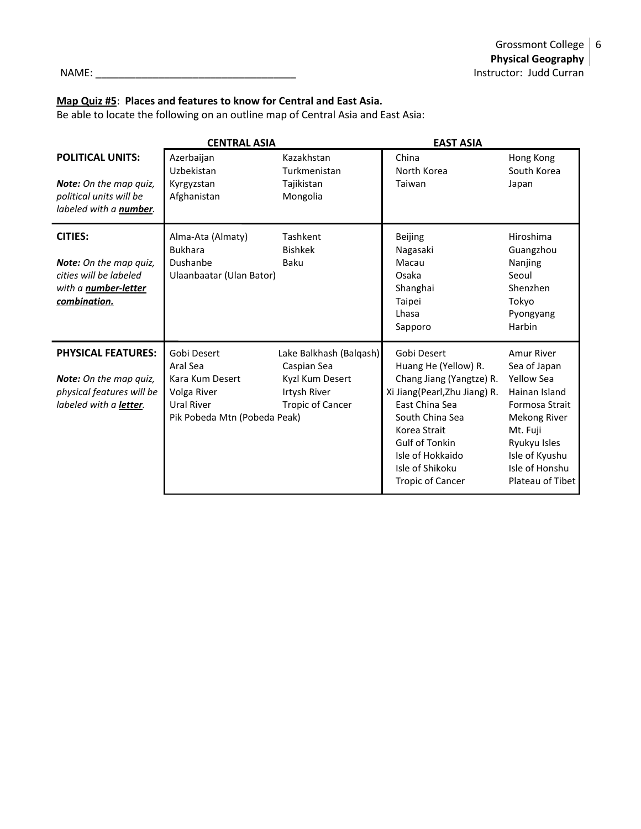#### **Map Quiz #5**: **Places and features to know for Central and East Asia.**

Be able to locate the following on an outline map of Central Asia and East Asia:

|                                                                                                                          | <b>CENTRAL ASIA</b>                                                                                            |                                                                                                      | <b>EAST ASIA</b>                                                                                                                                                                                                                                 |                                                                                                                                                                                        |
|--------------------------------------------------------------------------------------------------------------------------|----------------------------------------------------------------------------------------------------------------|------------------------------------------------------------------------------------------------------|--------------------------------------------------------------------------------------------------------------------------------------------------------------------------------------------------------------------------------------------------|----------------------------------------------------------------------------------------------------------------------------------------------------------------------------------------|
| <b>POLITICAL UNITS:</b><br><b>Note:</b> On the map quiz,<br>political units will be<br>labeled with a number.            | Azerbaijan<br>Uzbekistan<br>Kyrgyzstan<br>Afghanistan                                                          | Kazakhstan<br>Turkmenistan<br>Tajikistan<br>Mongolia                                                 | China<br>North Korea<br>Taiwan                                                                                                                                                                                                                   | Hong Kong<br>South Korea<br>Japan                                                                                                                                                      |
| <b>CITIES:</b><br><b>Note:</b> On the map quiz,<br>cities will be labeled<br>with a <i>number-letter</i><br>combination. | Alma-Ata (Almaty)<br><b>Bukhara</b><br>Dushanbe<br>Ulaanbaatar (Ulan Bator)                                    | Tashkent<br><b>Bishkek</b><br>Baku                                                                   | <b>Beijing</b><br>Nagasaki<br>Macau<br>Osaka<br>Shanghai<br>Taipei<br>Lhasa<br>Sapporo                                                                                                                                                           | Hiroshima<br>Guangzhou<br>Nanjing<br>Seoul<br>Shenzhen<br>Tokyo<br>Pyongyang<br>Harbin                                                                                                 |
| <b>PHYSICAL FEATURES:</b><br><b>Note:</b> On the map quiz,<br>physical features will be<br>labeled with a letter.        | Gobi Desert<br>Aral Sea<br>Kara Kum Desert<br>Volga River<br><b>Ural River</b><br>Pik Pobeda Mtn (Pobeda Peak) | Lake Balkhash (Balqash)<br>Caspian Sea<br>Kyzl Kum Desert<br>Irtysh River<br><b>Tropic of Cancer</b> | Gobi Desert<br>Huang He (Yellow) R.<br>Chang Jiang (Yangtze) R.<br>Xi Jiang(Pearl, Zhu Jiang) R.<br>East China Sea<br>South China Sea<br>Korea Strait<br><b>Gulf of Tonkin</b><br>Isle of Hokkaido<br>Isle of Shikoku<br><b>Tropic of Cancer</b> | Amur River<br>Sea of Japan<br><b>Yellow Sea</b><br>Hainan Island<br>Formosa Strait<br>Mekong River<br>Mt. Fuji<br>Ryukyu Isles<br>Isle of Kyushu<br>Isle of Honshu<br>Plateau of Tibet |